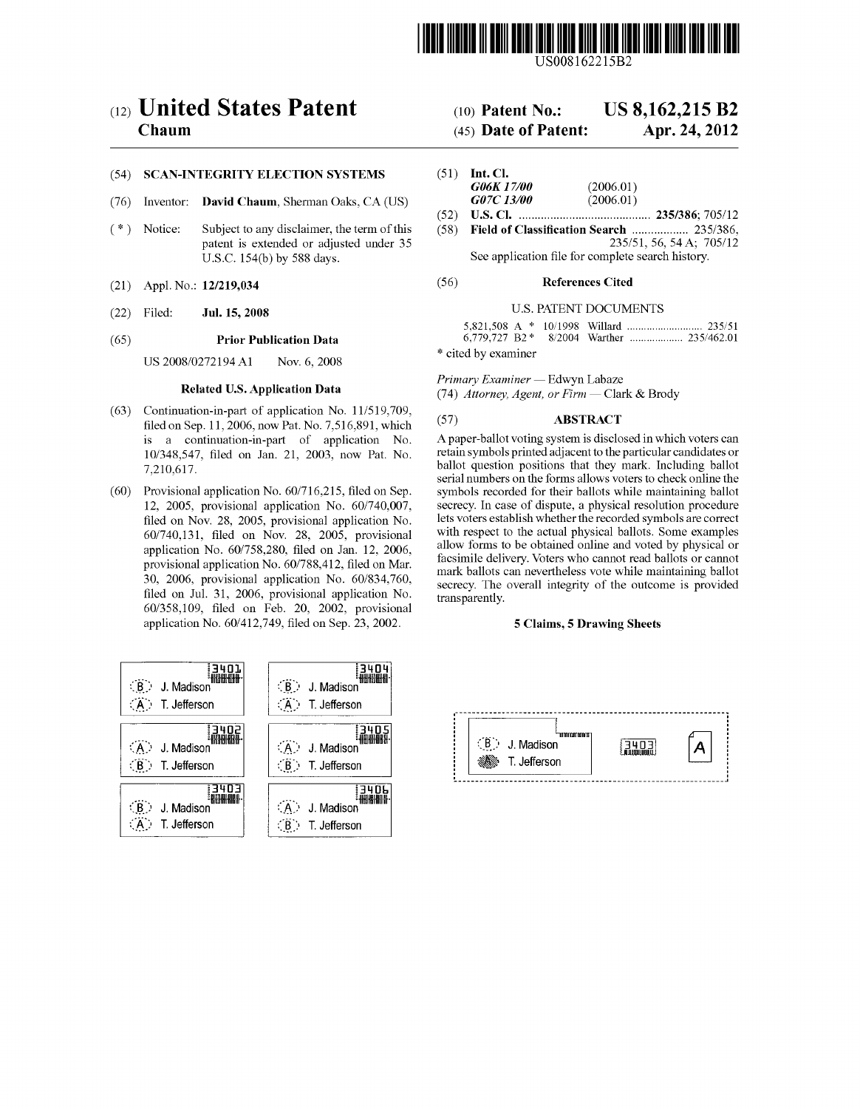

US008162215B2

# (12) United States Patent (10) Patent No.: US 8,162,215 B2

#### (54) SCAN-INTEGRITY ELECTION SYSTEMS (51) Int. Cl.

- (76) Inventor: **David Chaum**, Sherman Oaks, CA (US)  $(52)$
- (\*) Notice: Subject to any disclaimer, the term of this (58) Field of Classification Search .................. 235/386, patent is extended or adjusted under 35 U.S.C. 154(b) by 588 days.
- (21) Appl.No.: 12/219,034
- (22) Filed: Jul. 15, 2008

#### (65) Prior Publication Data

US 2008/0272194 A1 Nov. 6, 2008

#### Related US. Application Data

- (63) Continuation-in-part of application No. 11/519,709, filed on Sep. 11, 2006, now Pat. No. 7,516,891, which is a continuation-in-part of application No. 10/348,547, filed on Jan. 21, 2003, now Pat. No. 7,210,617.
- $(60)$  Provisional application No.  $60/716,215$ , filed on Sep. 12, 2005, provisional application No. 60/740,007, filed on Nov. 28, 2005, provisional application No. 60/740,131, filed on Nov. 28, 2005, provisional application No. 60/758,280, filed on Jan. 12, 2006, provisional application No. 60/788,412, filed on Mar. 30, 2006, provisional application No. 60/834,760, filed on Jul. 31, 2006, provisional application No. 60/358,109, filed on Feb. 20, 2002, provisional application No. 60/412,749, filed on Sep. 23, 2002.

| 341<br>(B) J. Madison<br>(A) T. Jefferson | $(B)$ J. Madison<br>$(A)$ T. Jefferson |
|-------------------------------------------|----------------------------------------|
| (A) J. Madison                            | (A) J. Madison                         |
| $(B)$ T. Jefferson                        | $(B)$ T. Jefferson                     |
| $(B)$ J. Madison                          | $(A)$ J. Madison                       |
| $(A)$ T. Jefferson                        | $(B)$ T. Jefferson                     |

## Chaum (45) Date of Patent: Apr. 24, 2012

- 
- GO6K 17/00 (2006.01)<br>GO7C 13/00 (2006.01)
- (52) US. Cl. ........................................ .. 235/386; 705/12
- 235/51, 56, 54A; 705/12 See application file for complete search history.

#### (56) References Cited

### U.S. PATENT DOCUMENTS

| * cited by examiner |  |  |
|---------------------|--|--|

Primary Examiner - Edwyn Labaze (74) Attorney, Agent, or Firm - Clark & Brody

#### (57) ABSTRACT

A paper-ballot voting system is disclosed in Which voters can ballot question positions that they mark. Including ballot serial numbers on the forms allows voters to check online the symbols recorded for their ballots While maintaining ballot secrecy. In case of dispute, a physical resolution procedure lets voters establish Whether the recorded symbols are correct with respect to the actual physical ballots. Some examples alloW forms to be obtained online and voted by physical or facsimile delivery. Voters Who cannot read ballots or cannot mark ballots can nevertheless vote While maintaining ballot secrecy. The overall integrity of the outcome is provided transparently.

#### 5 Claims, 5 Drawing Sheets

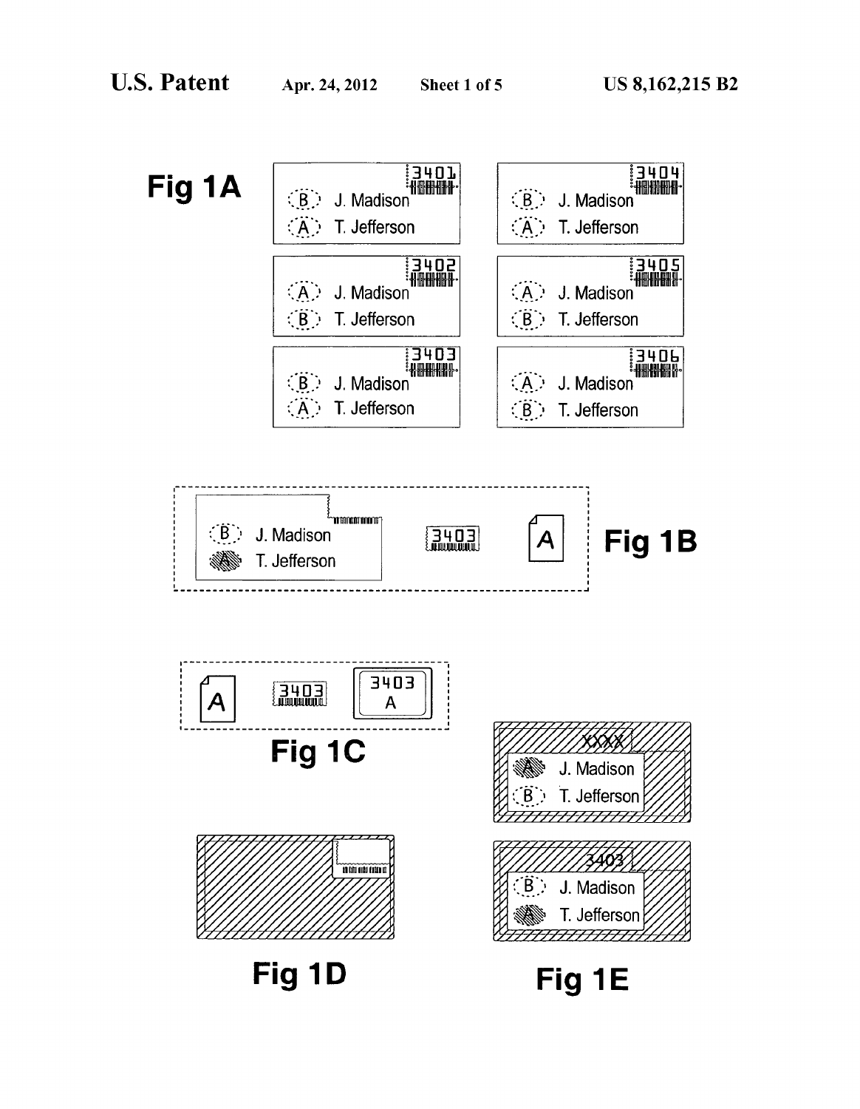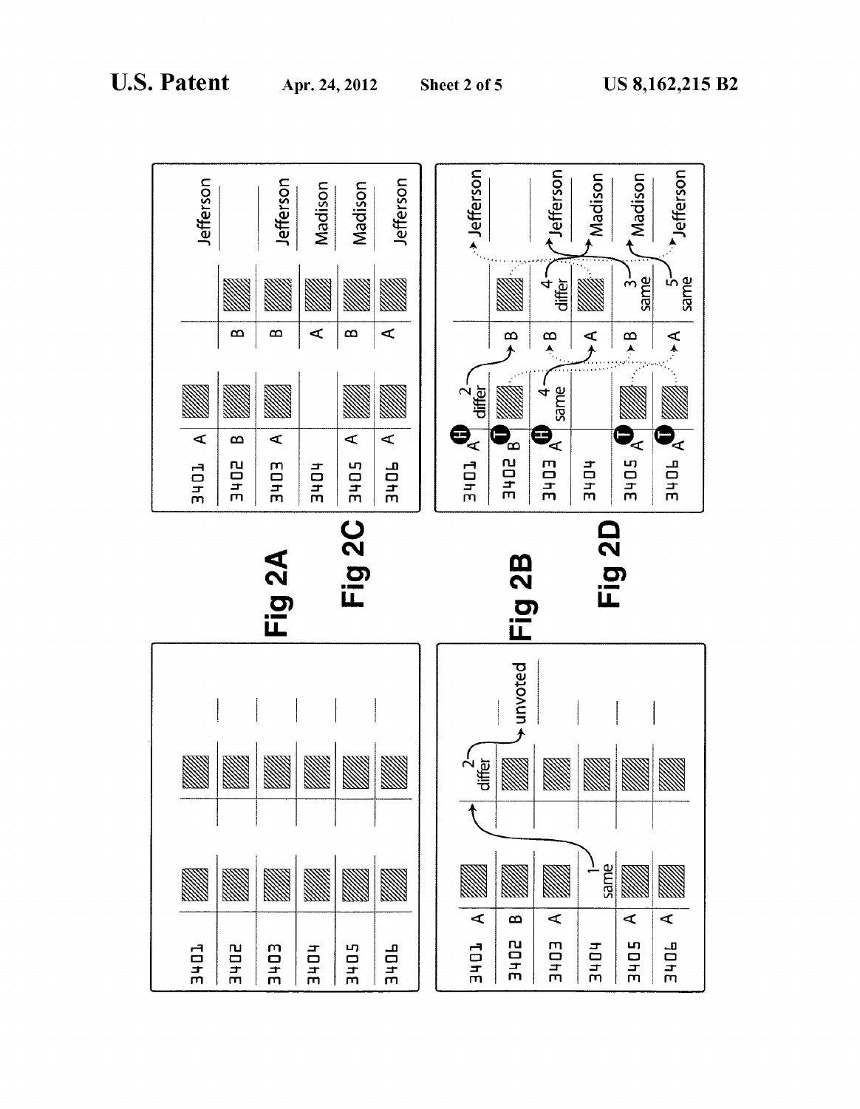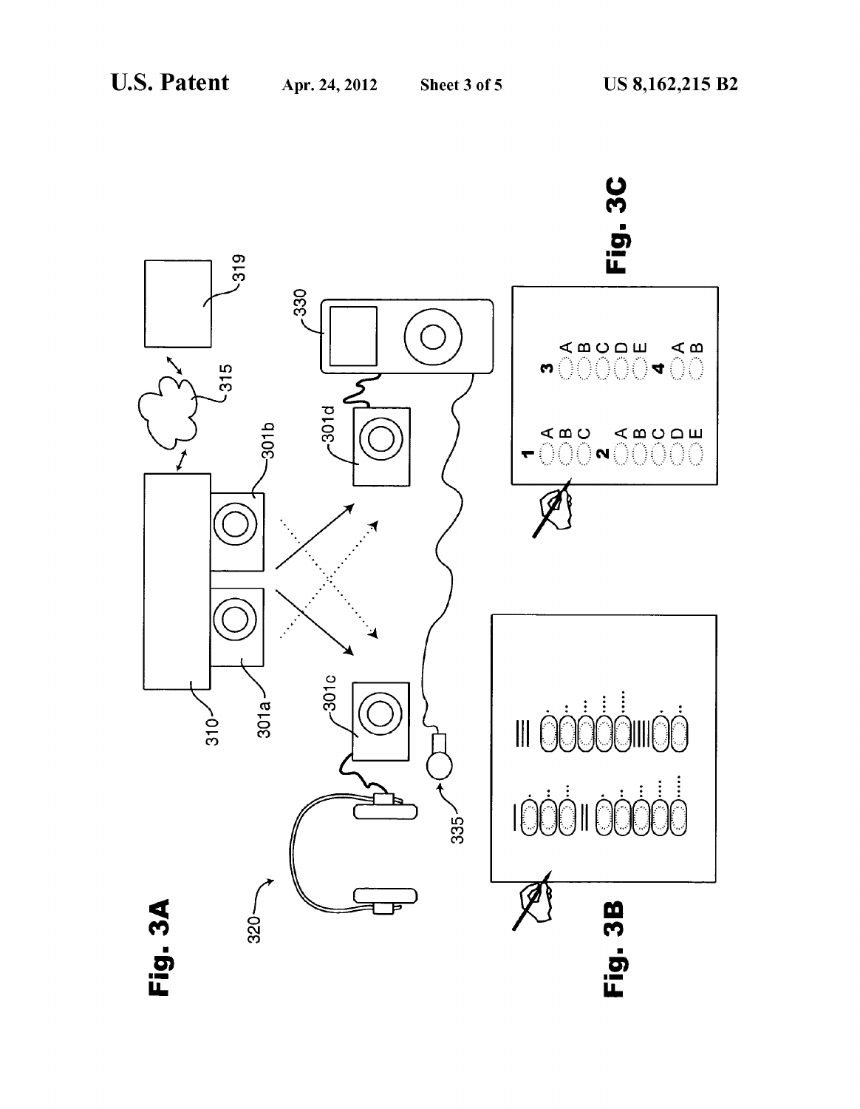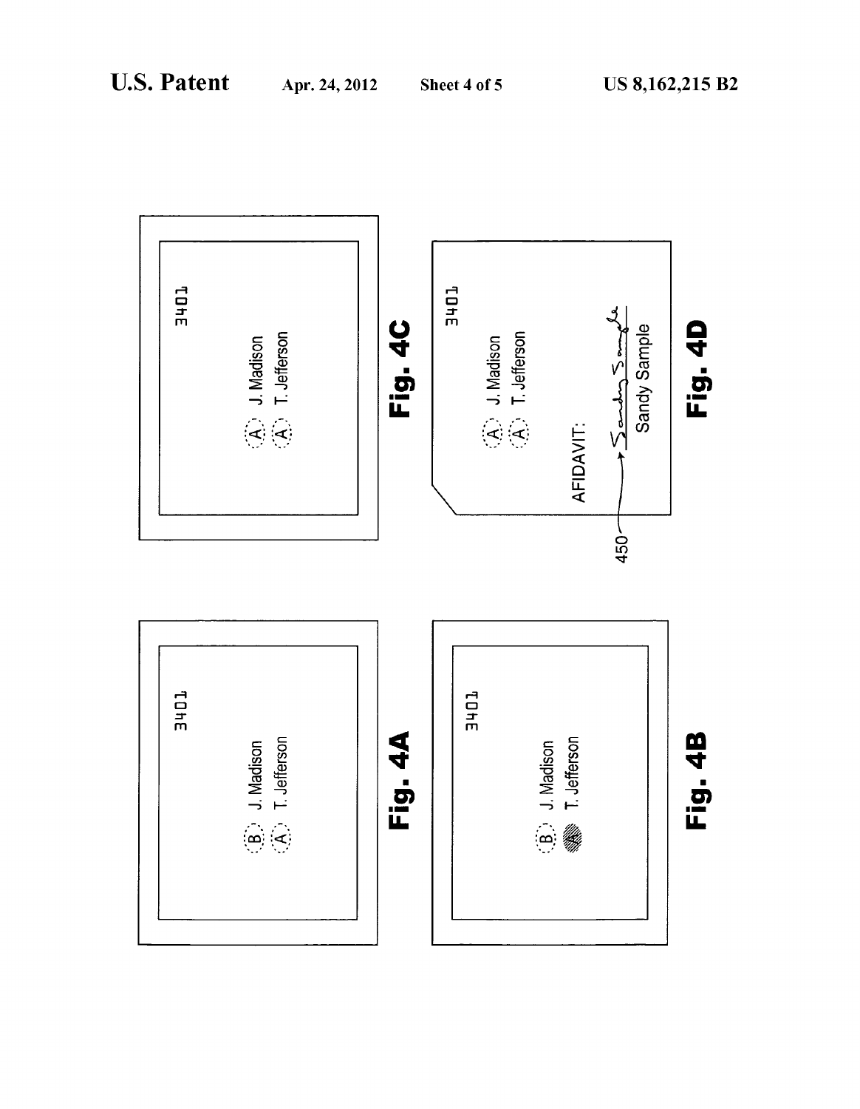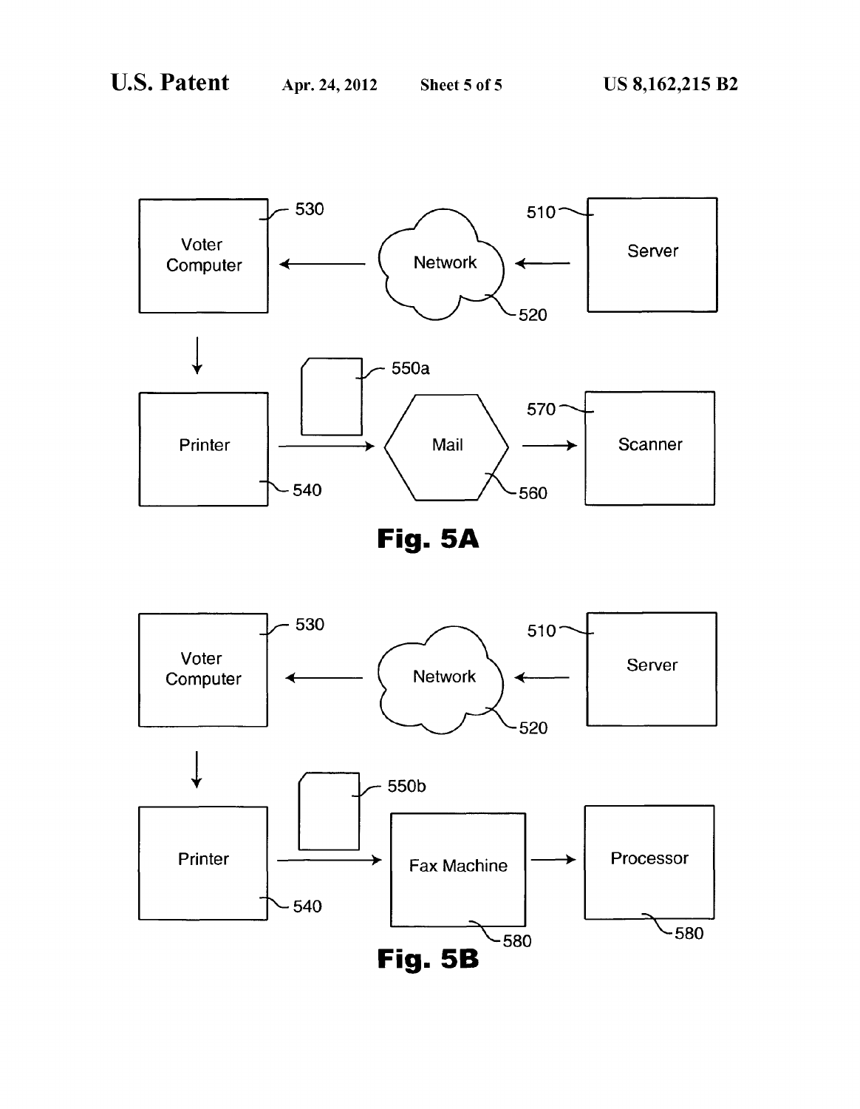

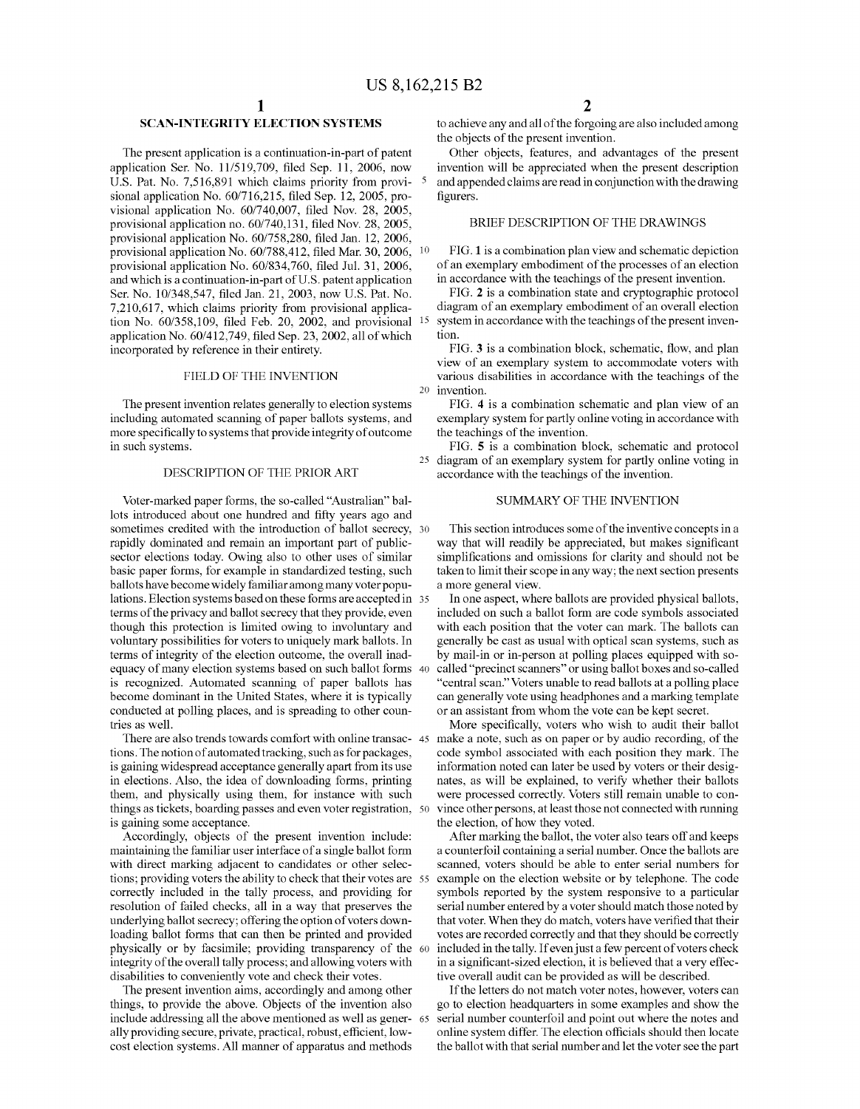### SCAN-INTEGRITY ELECTION SYSTEMS

The present application is a continuation-in-part of patent application Ser. No. 11/519,709, filed Sep. 11, 2006, now U.S. Pat. No. 7,516,891 which claims priority from provisional application No.  $60/716,215$ , filed Sep. 12, 2005, provisional application No.  $60/740,007$ , filed Nov. 28, 2005, provisional application no. 60/740,131, filed Nov. 28, 2005, provisional application No. 60/758,280, filed Jan. 12, 2006, provisional application No. 60/788,412, filed Mar. 30, 2006, 10 provisional application No. 60/834,760, filed Jul. 31, 2006, and Which is a continuation-in-part of US. patent application Ser. No. 10/348,547, filed Jan. 21, 2003, now U.S. Pat. No. 7,210,617, Which claims priority from provisional applica tion No.  $60/358,109$ , filed Feb. 20, 2002, and provisional application No.  $60/412,749$ , filed Sep. 23, 2002, all of which incorporated by reference in their entirety.

#### FIELD OF THE INVENTION

The present invention relates generally to election systems including automated scanning of paper ballots systems, and more specifically to systems that provide integrity of outcome in such systems.

#### DESCRIPTION OF THE PRIOR ART

Voter-marked paper forms, the so-called "Australian" bal lots introduced about one hundred and fifty years ago and sometimes credited With the introduction of ballot secrecy, 30 rapidly dominated and remain an important part of public sector elections today. Owing also to other uses of similar basic paper forms, for example in standardized testing, such ballots have become Widely familiar among many voter popu lations. Election systems based on these forms are accepted in 35 terms of the privacy and ballot secrecy that they provide, even though this protection is limited oWing to involuntary and voluntary possibilities for voters to uniquely mark ballots. In terms of integrity of the election outcome, the overall inad equacy of many election systems based on such ballot forms 40 is recognized. Automated scanning of paper ballots has become dominant in the United States, Where it is typically conducted at polling places, and is spreading to other coun tries as Well.

There are also trends towards comfort with online transac- 45 tions. The notion of automated tracking, such as for packages, is gaining Widespread acceptance generally apart from its use in elections. Also, the idea of doWnloading forms, printing them, and physically using them, for instance With such things as tickets, boarding passes and even voter registration, 50 is gaining some acceptance.

Accordingly, objects of the present invention include: maintaining the familiar user interface of a single ballot form with direct marking adjacent to candidates or other selections; providing voters the ability to check that their votes are 55 correctly included in the tally process, and providing for resolution of failed checks, all in a Way that preserves the underlying ballot secrecy; offering the option of voters downloading ballot forms that can then be printed and provided physically or by facsimile; providing transparency of the 60 integrity of the overall tally process; and allowing voters with disabilities to conveniently vote and check their votes.

The present invention aims, accordingly and among other things, to provide the above. Objects of the invention also include addressing all the above mentioned as Well as gener 65 ally providing secure, private, practical, robust, efficient, lowcost election systems. All manner of apparatus and methods

to achieve any and all of the forgoing are also included among the objects of the present invention.

Other objects, features, and advantages of the present invention Will be appreciated When the present description and appended claims are read in conjunction With the draWing figurers.

#### BRIEF DESCRIPTION OF THE DRAWINGS

FIG. 1 is a combination plan vieW and schematic depiction of an exemplary embodiment of the processes of an election in accordance With the teachings of the present invention.

FIG. 2 is a combination state and cryptographic protocol diagram of an exemplary embodiment of an overall election system in accordance With the teachings of the present inven tion.

20 invention. FIG. 3 is a combination block, schematic, How, and plan view of an exemplary system to accommodate voters with various disabilities in accordance With the teachings of the

FIG. 4 is a combination schematic and plan vieW of an exemplary system for partly online voting in accordance With the teachings of the invention.

25 diagram of an exemplary system for partly online voting in FIG. 5 is a combination block, schematic and protocol accordance With the teachings of the invention.

#### SUMMARY OF THE INVENTION

This section introduces some of the inventive concepts in a way that will readily be appreciated, but makes significant simplifications and omissions for clarity and should not be taken to limit their scope in any Way; the next section presents a more general vieW.

In one aspect, Where ballots are provided physical ballots, included on such a ballot form are code symbols associated with each position that the voter can mark. The ballots can generally be cast as usual With optical scan systems, such as by mail-in or in-person at polling places equipped With so called "precinct scanners" or using ballot boxes and so-called "central scan." Voters unable to read ballots at a polling place can generally vote using headphones and a marking template or an assistant from Whom the vote can be kept secret.

More specifically, voters who wish to audit their ballot make a note, such as on paper or by audio recording, of the code symbol associated With each position they mark. The information noted can later be used by voters or their desig nates, as Will be explained, to verify Whether their ballots were processed correctly. Voters still remain unable to convince other persons, at least those not connected With running the election, of hoW they voted.

After marking the ballot, the voter also tears off and keeps a counterfoil containing a serial number. Once the ballots are scanned, voters should be able to enter serial numbers for example on the election Website or by telephone. The code symbols reported by the system responsive to a particular serial number entered by a voter should match those noted by that voter. When they do match, voters have verified that their votes are recorded correctly and that they should be correctly included in the tally. If even just a few percent of voters check in a significant-sized election, it is believed that a very effective overall audit can be provided as will be described.

If the letters do not match voter notes, however, voters can go to election headquarters in some examples and shoW the serial number counterfoil and point out Where the notes and online system differ. The election officials should then locate the ballot With that serial number and let the voter see the part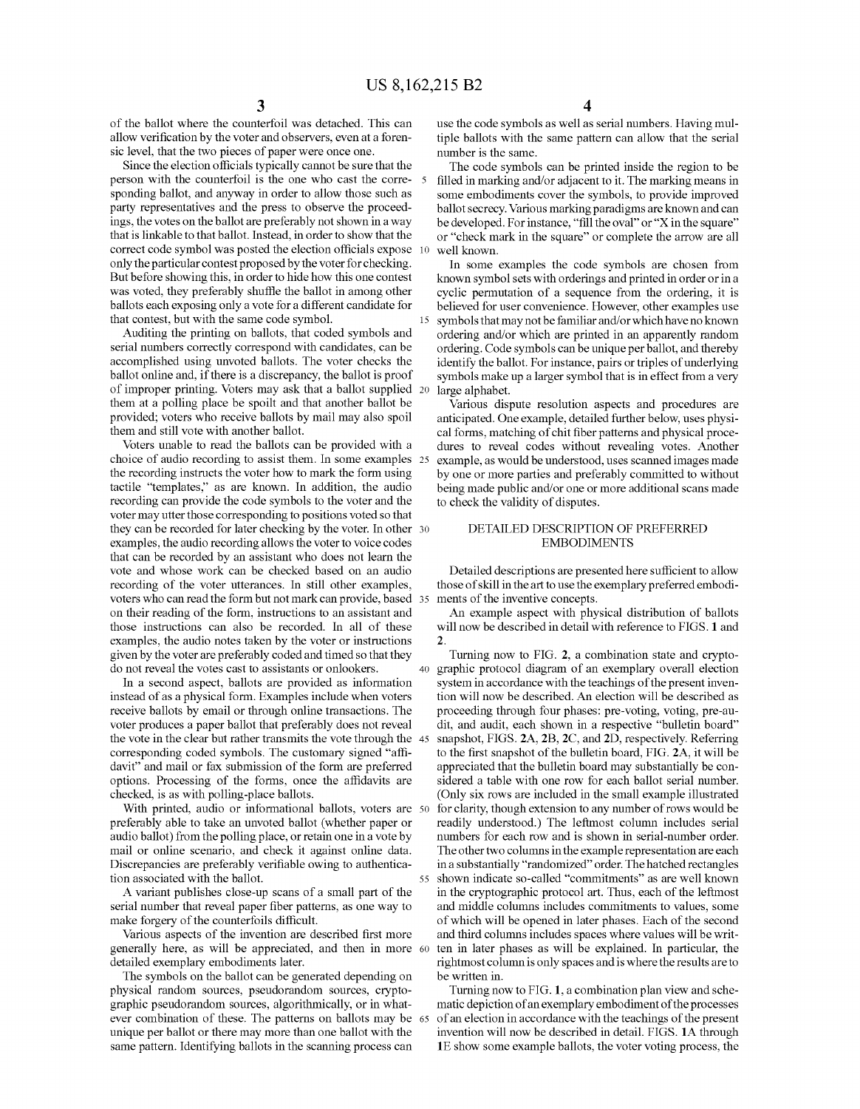55

of the ballot Where the counterfoil Was detached. This can allow verification by the voter and observers, even at a forensic level, that the two pieces of paper were once one.

Since the election officials typically cannot be sure that the person With the counterfoil is the one Who cast the corre sponding ballot, and anyway in order to allow those such as party representatives and the press to observe the proceed ings, the votes on the ballot are preferably not shoWn in a Way that is linkable to that ballot. Instead, in order to shoW that the correct code symbol was posted the election officials expose 10 only the particular contest proposed by the voter for checking. But before showing this, in order to hide hoW this one contest was voted, they preferably shuffle the ballot in among other ballots each exposing only a vote for a different candidate for that contest, but With the same code symbol.

Auditing the printing on ballots, that coded symbols and serial numbers correctly correspond With candidates, can be accomplished using unvoted ballots. The voter checks the ballot online and, if there is a discrepancy, the ballot is proof of improper printing. Voters may ask that a ballot supplied 20 them at a polling place be spoilt and that another ballot be provided; voters Who receive ballots by mail may also spoil them and still vote With another ballot.

Voters unable to read the ballots can be provided With a choice of audio recording to assist them. In some examples 25 the recording instructs the voter hoW to mark the form using tactile "templates," as are known. In addition, the audio recording can provide the code symbols to the voter and the voter may utter those corresponding to positions voted so that they can be recorded for later checking by the voter. In other 30 examples, the audio recording alloWs the voter to voice codes that can be recorded by an assistant Who does not learn the vote and Whose Work can be checked based on an audio recording of the voter utterances. In still other examples, voters Who can read the form but not mark can provide, based 35 on their reading of the form, instructions to an assistant and those instructions can also be recorded. In all of these examples, the audio notes taken by the voter or instructions given by the voter are preferably coded and timed so that they do not reveal the votes cast to assistants or onlookers.

In a second aspect, ballots are provided as information instead of as a physical form. Examples include When voters receive ballots by email or through online transactions. The voter produces a paper ballot that preferably does not reveal the vote in the clear but rather transmits the vote through the 45 corresponding coded symbols. The customary signed "affidavit" and mail or fax submission of the form are preferred options. Processing of the forms, once the affidavits are checked, is as With polling-place ballots.

With printed, audio or informational ballots, voters are 50 preferably able to take an unvoted ballot (Whether paper or audio ballot) from the polling place, or retain one in a vote by mail or online scenario, and check it against online data. Discrepancies are preferably verifiable owing to authentication associated With the ballot.

A variant publishes close-up scans of a small part of the serial number that reveal paper fiber patterns, as one way to make forgery of the counterfoils difficult.

Various aspects of the invention are described first more generally here, as Will be appreciated, and then in more 60 detailed exemplary embodiments later.

The symbols on the ballot can be generated depending on physical random sources, pseudorandom sources, crypto graphic pseudorandom sources, algorithmically, or in What ever combination of these. The patterns on ballots may be 65 unique per ballot or there may more than one ballot With the same pattern. Identifying ballots in the scanning process can

4 use the code symbols as Well as serial numbers. Having mul tiple ballots with the same pattern can allow that the serial number is the same.

The code symbols can be printed inside the region to be filled in marking and/or adjacent to it. The marking means in some embodiments cover the symbols, to provide improved ballot secrecy. Various marking paradigms are known and can be developed. For instance, "fill the oval" or "X in the square" or "check mark in the square" or complete the arroW are all Well knoWn.

In some examples the code symbols are chosen from known symbol sets with orderings and printed in order or in a cyclic permutation of a sequence from the ordering, it is believed for user convenience. HoWever, other examples use symbols that may not be familiar and/or which have no known ordering and/or Which are printed in an apparently random ordering. Code symbols can be unique per ballot, and thereby identify the ballot. For instance, pairs or triples of underlying symbols make up a larger symbol that is in effect from a very large alphabet.

Various dispute resolution aspects and procedures are anticipated. One example, detailed further beloW, uses physi cal forms, matching of chit fiber patterns and physical procedures to reveal codes Without revealing votes. Another example, as Would be understood, uses scanned images made by one or more parties and preferably committed to Without being made public and/or one or more additional scans made to check the validity of disputes.

#### DETAILED DESCRIPTION OF PREFERRED EMBODIMENTS

Detailed descriptions are presented here sufficient to allow those of skill in the art to use the exemplary preferred embodi ments of the inventive concepts.

An example aspect With physical distribution of ballots will now be described in detail with reference to FIGS. 1 and 2.

40 graphic protocol diagram of an exemplary overall election Turning now to FIG. 2, a combination state and cryptosystem in accordance With the teachings of the present inven tion Will noW be described. An election Will be described as proceeding through four phases: pre-voting, voting, pre-au dit, and audit, each shoWn in a respective "bulletin board" snapshot, FIGS. 2A, 2B, 2C, and 2D, respectively. Referring to the first snapshot of the bulletin board, FIG. 2A, it will be appreciated that the bulletin board may substantially be con sidered a table With one roW for each ballot serial number. (Only six rows are included in the small example illustrated for clarity, though extension to any number of rows would be readily understood.) The leftmost column includes serial numbers for each roW and is shoWn in serial-number order. The other two columns in the example representation are each in a substantially "randomized" order. The hatched rectangles shown indicate so-called "commitments" as are well known in the cryptographic protocol art. Thus, each of the leftmost and middle columns includes commitments to values, some of Which Will be opened in later phases. Each of the second and third columns includes spaces Where values Will be Writ ten in later phases as Will be explained. In particular, the rightmost column is only spaces and is Where the results are to be Written in.

Turning now to FIG. 1, a combination plan view and schematic depiction of an exemplary embodiment of the processes of an election in accordance With the teachings of the present invention will now be described in detail. FIGS. 1A through 1E shoW some example ballots, the voter voting process, the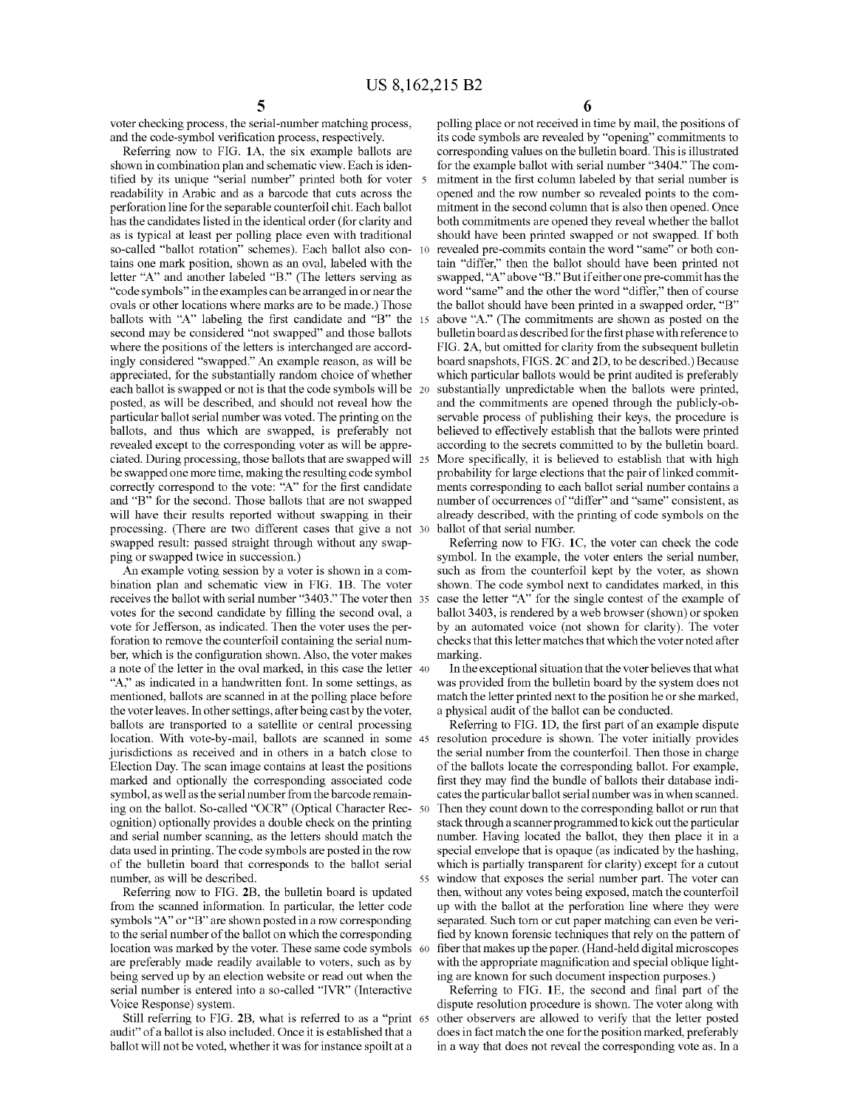voter checking process, the serial-number matching process, and the code-symbol verification process, respectively.

Referring now to FIG. 1A, the six example ballots are shown in combination plan and schematic view. Each is identified by its unique "serial number" printed both for voter 5 readability in Arabic and as a barcode that cuts across the perforation line for the separable counterfoil chit. Each ballot has the candidates listed in the identical order (for clarity and as is typical at least per polling place even with traditional so-called "ballot rotation" schemes). Each ballot also con- $10$ tains one mark position, shown as an oval, labeled with the letter "A" and another labeled "B." (The letters serving as "code symbols" in the examples can be arranged in or near the ovals or other locations where marks are to be made.) Those ballots with "A" labeling the first candidate and "B" the 15 second may be considered "not swapped" and those ballots where the positions of the letters is interchanged are accordingly considered "swapped." An example reason, as will be appreciated, for the substantially random choice of whether each ballot is swapped or not is that the code symbols will be 20 posted, as will be described, and should not reveal how the particular ballot serial number was voted. The printing on the ballots, and thus which are swapped, is preferably not revealed except to the corresponding voter as will be appreciated. During processing, those ballots that are swapped will 25 be swapped one more time, making the resulting code symbol correctly correspond to the vote: "A" for the first candidate and "B" for the second. Those ballots that are not swapped will have their results reported without swapping in their processing. (There are two different cases that give a not 30 swapped result: passed straight through without any swapping or swapped twice in succession.)

An example voting session by a voter is shown in a combination plan and schematic view in FIG. 1B. The voter receives the ballot with serial number "3403." The voter then 35 votes for the second candidate by filling the second oval, a vote for Jefferson, as indicated. Then the voter uses the perforation to remove the counterfoil containing the serial number, which is the configuration shown. Also, the voter makes a note of the letter in the oval marked, in this case the letter 40 "A," as indicated in a handwritten font. In some settings, as mentioned, ballots are scanned in at the polling place before the voter leaves. In other settings, after being cast by the voter, ballots are transported to a satellite or central processing location. With vote-by-mail, ballots are scanned in some 45 jurisdictions as received and in others in a batch close to Election Day. The scan image contains at least the positions marked and optionally the corresponding associated code symbol, as well as the serial number from the barcode remaining on the ballot. So-called "OCR" (Optical Character Rec- 50 ognition) optionally provides a double check on the printing and serial number scanning, as the letters should match the data used in printing. The code symbols are posted in the row of the bulletin board that corresponds to the ballot serial number, as will be described.

Referring now to FIG. 2B, the bulletin board is updated from the scanned information. In particular, the letter code symbols "A" or "B" are shown posted in a row corresponding to the serial number of the ballot on which the corresponding location was marked by the voter. These same code symbols 60 are preferably made readily available to voters, such as by being served up by an election website or read out when the serial number is entered into a so-called "IVR" (Interactive Voice Response) system.

Still referring to FIG. 2B, what is referred to as a "print 65 audit" of a ballot is also included. Once it is established that a ballot will not be voted, whether it was for instance spoilt at a

6

polling place or not received in time by mail, the positions of its code symbols are revealed by "opening" commitments to corresponding values on the bulletin board. This is illustrated for the example ballot with serial number "3404." The commitment in the first column labeled by that serial number is opened and the row number so revealed points to the commitment in the second column that is also then opened. Once both commitments are opened they reveal whether the ballot should have been printed swapped or not swapped. If both revealed pre-commits contain the word "same" or both contain "differ," then the ballot should have been printed not swapped, "A" above "B." But if either one pre-commit has the word "same" and the other the word "differ," then of course the ballot should have been printed in a swapped order, "B" above "A." (The commitments are shown as posted on the bulletin board as described for the first phase with reference to FIG. 2A, but omitted for clarity from the subsequent bulletin board snapshots, FIGS. 2C and 2D, to be described.) Because which particular ballots would be print audited is preferably substantially unpredictable when the ballots were printed. and the commitments are opened through the publicly-observable process of publishing their keys, the procedure is believed to effectively establish that the ballots were printed according to the secrets committed to by the bulletin board. More specifically, it is believed to establish that with high probability for large elections that the pair of linked commitments corresponding to each ballot serial number contains a number of occurrences of "differ" and "same" consistent, as already described, with the printing of code symbols on the ballot of that serial number.

Referring now to FIG. 1C, the voter can check the code symbol. In the example, the voter enters the serial number, such as from the counterfoil kept by the voter, as shown shown. The code symbol next to candidates marked, in this case the letter "A" for the single contest of the example of ballot 3403, is rendered by a web browser (shown) or spoken by an automated voice (not shown for clarity). The voter checks that this letter matches that which the voter noted after marking.

In the exceptional situation that the voter believes that what was provided from the bulletin board by the system does not match the letter printed next to the position he or she marked, a physical audit of the ballot can be conducted.

Referring to FIG. 1D, the first part of an example dispute resolution procedure is shown. The voter initially provides the serial number from the counterfoil. Then those in charge of the ballots locate the corresponding ballot. For example, first they may find the bundle of ballots their database indicates the particular ballot serial number was in when scanned. Then they count down to the corresponding ballot or run that stack through a scanner programmed to kick out the particular number. Having located the ballot, they then place it in a special envelope that is opaque (as indicated by the hashing, which is partially transparent for clarity) except for a cutout 55 window that exposes the serial number part. The voter can then, without any votes being exposed, match the counterfoil up with the ballot at the perforation line where they were separated. Such torn or cut paper matching can even be verified by known forensic techniques that rely on the pattern of fiber that makes up the paper. (Hand-held digital microscopes with the appropriate magnification and special oblique lighting are known for such document inspection purposes.)

Referring to FIG. 1E, the second and final part of the dispute resolution procedure is shown. The voter along with other observers are allowed to verify that the letter posted does in fact match the one for the position marked, preferably in a way that does not reveal the corresponding vote as. In a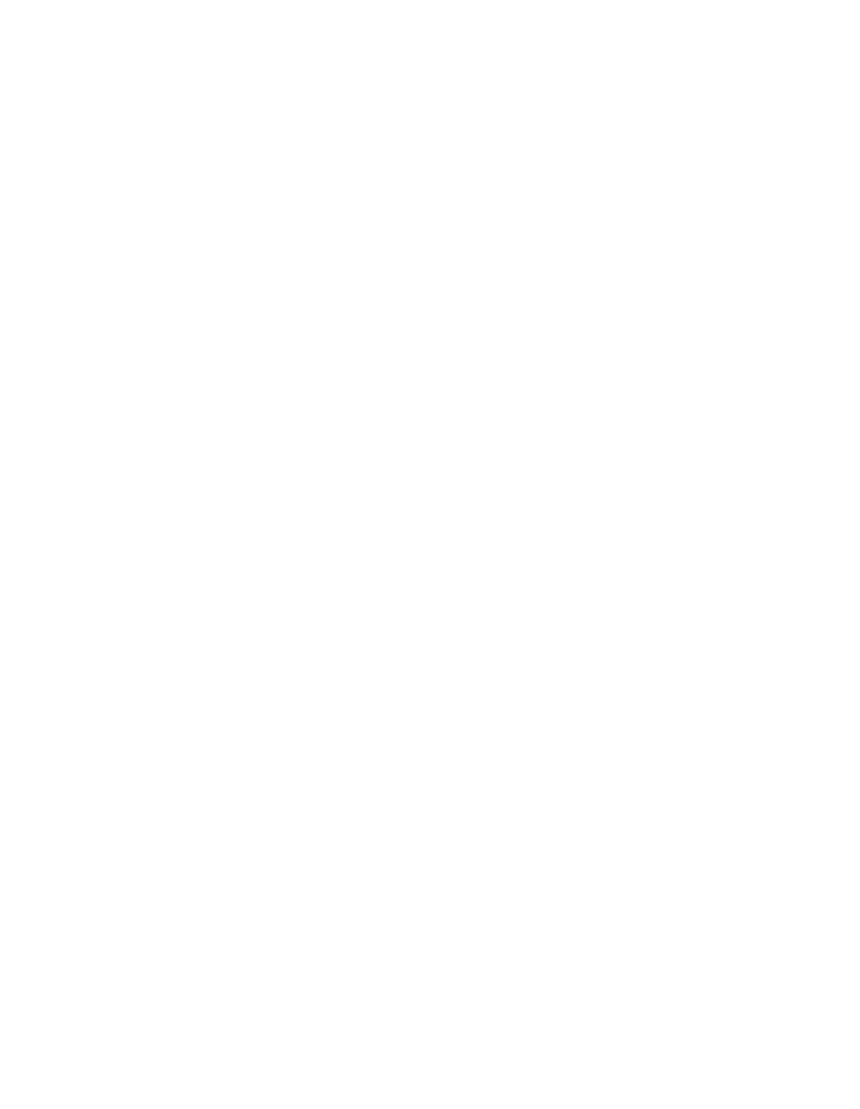particular example approach, those in charge of the ballots transfer the ballot to an envelope that exposes both ovals of the disputed contest but not the serial number. Those observing the transfer can see that the ballot is not switched during the transfer, but cannot yet see the ovals, for instance because 5 the transfer is conducted with the ballot face down. Another ballot is constructed, or borrowed from the actual ballot store, whose printing is of the opposite type, "not swapped" in the example, but which has the same letter, "A," marked. The second ballot is placed in an envelope of substantially iden-10 tical appearance. The two envelopes are then preferably shuffled in a way that creates no doubt that the same two remain but that effectively hides which is which. An example device to facilitate this is a cylindrical box, like a musician's drum case, with a rotating platform in the base on which multiple radial vertical partitions are secured. This allows envelopes placed inside to be spun to unpredictable locations but also for the box to be opened for complete inspection. Whatever the process, it should clearly establish that the ballot must have had the particular letter next to the position 20 marked, but which candidate the mark on the actual ballot corresponds to is not revealed to any onlooker since all mark positions are among those displayed.

Referring now to FIG. 2C, those running the election post the election results in the space provided in the rightmost 25 column. It will be appreciated that the totals, or at least as claimed by those running the election, can be determined by adding up the number of occurrences of each candidate name posted. The intermediate symbols shown as letters in the middle column are used as part of the audit, as will be 30 described.

The pre-audit values posted are determined by those running the election or their computers, in effect using knowledge of what is in the commitments. Thus they are able to in effect trace the symbol posted next to the serial number 35 through the first envelope, which indicates whether or not it should be swapped (that is "A" changed for "B" and vice versa) or passed straight through and the row number in the middle column that it should land on. The pre-audit posting is completed by repeating this process using as input, instead of 40 the letters in the first column, the intermediate letters now posted in the middle column. The resulting letters are placed in rows of the last column as called for by the row numbers in the commitments of the middle column—but these are shown translated to candidate names for clarity, "A" for Madison and 45 "B" for Jefferson. Since these letters should be free of any swaps, those in printing and from the commitments having cancelled (because there are two or zero swaps in total for each ballot), these results letters correspond to the standard order that the candidate names are listed in on all the ballots. 50 The letter "A" in the final column thus corresponds to a vote for Madison and the letter "B" a vote for Jefferson.

Referring now finally to FIG. 2D, described is how the bulletin board is used in conducting a public audit aimed at establishing that the results posted in its last column do in fact 55 correspond to the letters posted in its first column. Since the code symbols of the first column are vetted by potential voter inspection as already described, the posted results are in effect at least spot-checked all the way back to what the voters saw when marking. The audit is also predicated on the ballots 60 being printed consistently with the content of the commitments on the bulletin board, which was established using the unvoted ballots as also explained earlier with reference to FIG. 2B.

The final step of the audit is controlled by the unpredictable 65 choice of a subset containing roughly half of the serial numbers. In practice, this is preferably a function of the results of

8

indisputable public data, such as stock closing prices. For clarity here, however, it is shown as a publicly-witnessed coin toss associated with each voted serial number. Heads (shown as "H" means open the commitment and tails ("T") means leave it sealed. Particular rows in the second column of commitments are pointed to by the content of those commitments that are opened in the first column. That the symbols posted pre-audit in these pointed to rows are consistent with the commitment content is readily verified: the pointer is followed and the two letters indicated should match if the commitment contained "same" and they should differ if it contained "differ." (For concreteness and clarity the pointers in commitments not opened are as will be appreciated shown as dotted lines.) None of the commitments in these pointed-to rows of the middle column should ever be opened, as each would provide a complete link from a serial number to a vote. But all of the other commits in the middle column are opened as shown. Their consistency with the pre-audit postings is then checked as with the first column of commits: the two letters connected by a pointer from an opened commit should be the same if the content is "same" and differ if it is "differ."

The system naturally extends to incorporate any number of candidates, contests and ballot styles, as would be readily understood. For example, a "vote one out of four" contest could use the letters "A," "B, "C" and "D" in that order except that each contest on each ballot starts with a random one of the four letters and the letter sequence wraps around as needed, with "A" following "D." For contests that allow more than one position to be filled, such as so-called "M out of N" voting the code symbols are preferably permuted instead of simply cyclically shifted. So-called cumulative voting would have one column of mark positions for each possible vote for a candidate. Similarly, so-called "rank order" voting would use one column of mark positions for each rank. What may be called "contest partitioning" allows each collection of contests to be processed using separate commitments, resulting in a division of the ballot that hides patterns of votes that extend over the divisions. When more than one contest is on the ballot, each has independently chosen starting letters and the single letters shown on the bulletin board and in its commits are replaced by lists of letters, one for each contest. A separate bulletin board is optionally in effect used for each polling place or other elementary unit with a unique combination of contests making up its so-called "ballot style." The serial number of ballots can be extended so that a unique prefix or range can be employed for each ballot style.

Turning now to FIG. 3, a combination block, schematic, flow, and plan view of an exemplary system to accommodate voters with various disabilities in accordance with the teachings of the invention will be described. FIG. 3A shows configurations for the equipment and its use, whereas FIGS. 3B and 3C show example templates and ballots. One obvious type of solution for voters with some disabilities, not shown for clarity, is an automated ballot marking device, where voters enter their votes by whatever means and the device marks a pre-printed ballot for them. An inventive extension to such a device suitable for the present approach includes the capability to provide the code symbols to the voter, such as in a printout or audio form, whether by OCR reading or by consulting a database, although not shown for clarity.

Referring now to FIG. 3A, voters that are unable to read the ballot, such as illiterate voters or those with visual disabilities, in effect choose between two audio ballots. Some approaches for this, previously disclosed by the present applicant, include passive recording media, hidden connection settings, and decrypting headphones. All of these approaches are believed applicable in the present setting. The approach described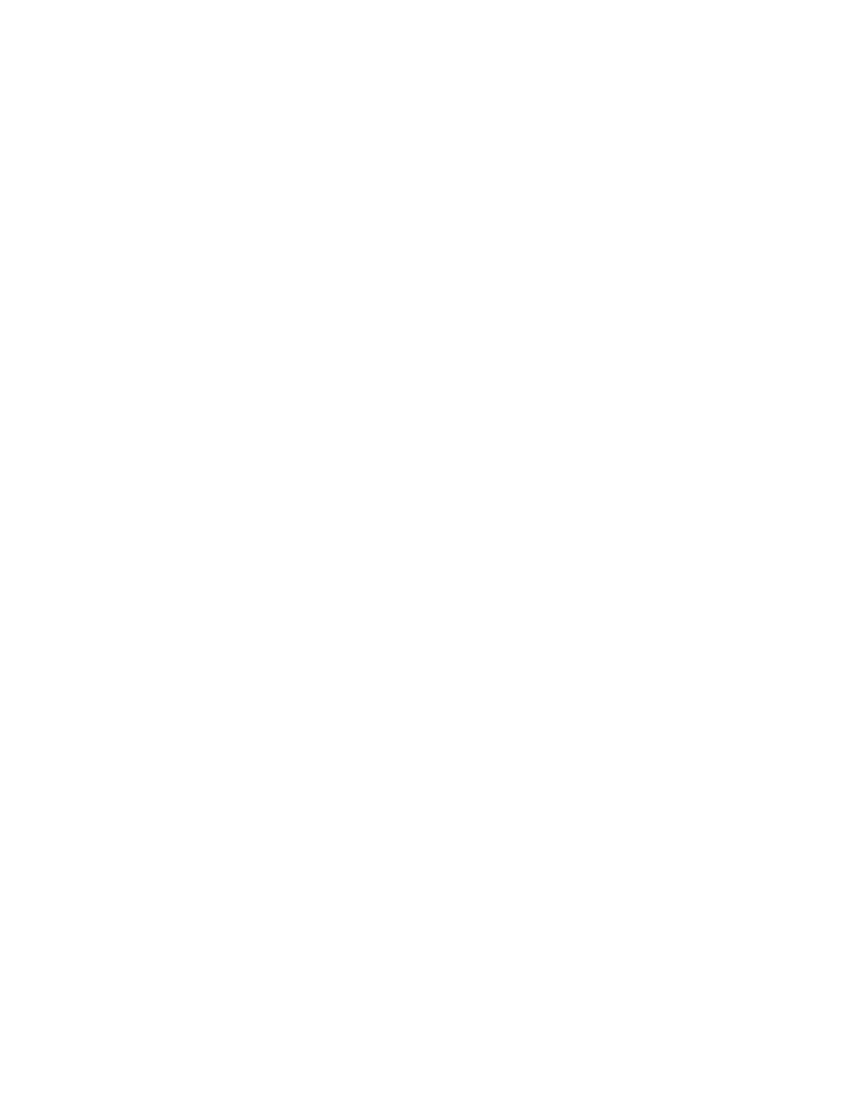25

here, however, comprises a choice between multiple audio players in a preferred exemplary embodiment.

The voter chooses between two players,  $301a$  and  $301b$ offered by those running the election. According to a first choice scenario, the solid arrows are followed and players 301 5 stay on their respective sides:  $301a$  becomes  $301c$  and  $301b$ becomes 301d. According to a second choice scenario, the dotted arrows shown are followed and players 301 switch sides:  $301a$  becomes also  $301d$  and  $301b$  becomes also  $301c$ . Players 301 contain recordings for the particular series of 10 coded symbols and candidates or questions the voter is to listen to in the voting booth. Players not chosen may optionally be played out and recorded on one or more instances of equipment 330 supplied by the voter or observers. The voter listens to the audio on  $301c$  through headphones 320.

The programming of players 301 is shown for completeness, though they may be pre-programmed in a particular setting. A combination charging and/or programming station 310 is shown holding the devices and optionally charging them and/or storing programming material into them. The 20 material may be developed by the device 310, stored by it in a master storage from which individual programs are to be taken, and/or obtained or developed in cooperation with one or more other devices such as 319 shown communicating with 310 over network 315.

Referring now to FIG. 3B, the voter in this exemplary embodiment is able to find the oval positions to mark using a so-called "tactile template" as is known in the art. The audio in this example preferably lists the candidates in the order in which the ovals appear. Preferably the contest numbers and 30 oval numbers are called out in the recording, optionally in a different voice from that used for the code symbols. The contest numbers are shown in the example by preferably raised bars and the position numbers within a contest by preferably raised dots. Marks can be made through the open- 35 ings in the template, shown as capsule shaped, through to the paper form shown below with its dotted-line ovals and code symbols. The voter ends up preferably marking a ballot form according to the present invention and accordingly produces a ballot that is substantially indistinguishable from those 40 marked by most other voters.

Referring finally to FIG. 3C, an example embodiment is shown in which the voter does not mark but informs an assistant of where to mark. Such an approach has been described in detail elsewhere in reference to media, switches, 45 and encrypting headphones as already mentioned. In the present example, however, the audio the voter hears is preferably, within contests, in order of the code symbols. The order of the contest may be standard or selectable by the voter through the interface of audio device  $301c$ .

If the candidates were to be read in a standard known order, timing would reveal the voter's vote. In one example, within each contest the names of candidates (or ballot question titles, or the like) are read starting from that labeled by the first symbol in its standard or lexicographic order. For instance, if 55 the candidates are labeled by code symbols beginning with "A," the candidate that is labeled by "A" is read first, that labeled by "B" second, and so forth. The voter indicates the contest and the symbols to be written by the assistant. The ballot can then be as shown or, for instance, a list of contest 60 numbers each with its corresponding code symbol.

A universal form with maximal number of candidates per contest is anticipated. The serial number associated with the particular recording is preferably associated with whatever ballot form, such as by being written or filled in as a pattern of 65 ovals, as will be understood and not shown for clarity. In another example embodiment, however, a standard ballot, not

shown for clarity, is used in which only the serial number is changed. For instance, the assistant crosses out the originally printed serial number and records the one read by the voter or visible on the portable player  $301c$ . One example way to record a serial number is by filling a pattern of ovals that encodes it digit by digit.

In other examples, the candidate names are read in a standard order but starting from a randomly chosen one of the candidates and wrapping around in a cycle. In still other examples, random delays are inserted into the program to keep the candidate identity from being revealed by the timing and the candidates can be read in standard order. In yet still other examples, voter input determines the order, such as a mandatory selection of candidate number by the voter, and timing can thus be kept from revealing the candidate.

In still another example embodiment, voters may be able to read and speak but have disabilities that make it difficult for them to mark using the standard means offered. One solution is to allow and/or provide special marking means, such as are known and operable by such voters. Another example is for the voter to read the symbols shown on the ballot and to then speak them so that they can be recorded by an assistant, such as using the types of forms already described with reference to  $FIG. 3C$ .

In embodiments where the voter utters symbols so that they can be heard by an assistant who marks, it is anticipate that a voice recorder 335 or the like is allowed to be operated. This recording then provides a kind of record and evidence of the symbols called out by the voter. Once the symbols are posted online the voter preferably has the option to listen to the recording and cross check it against the symbols online. Also, the voter optionally posts the recording, and others can perform the cross check, including by automated cross-checking being anticipated.

The device or devices not chosen by the voter contain audio that the voter and/or observer(s) are able to retain and in effect perform the equivalent of a "print audit" on. It preferably includes authentication, such as a digital signatures encoded in an audio watermark or other know means such as DTMF tones. Such authentication is preferably included in all the recordings the voter is able to choose between. This audio is preferably posted online and the voter and/or others check it or cross check it, such as already described and/or using the authenticator.

An example aspect with online ballot supply will now be described in detail with reference to FIGS. 4 and 5.

Turning first to FIG. 4, a combination schematic and plan view of an exemplary system for partly online voting in 50 accordance with the teachings of the invention will be described. Initially the view of the ballot is rendered on a display device, shown as a typical screen, in FIGS. 4A-4D. Then it is printed, in some examples, as shown in FIG. 4D.

Referring to FIG. 4A, the ballot choices are shown presented to the voter in whatever convenient way, in one example as a depiction of a paper ballot. The voter is to make a selection, such as using a touch screen, pointing device, or whatever machine interface is suitable.

Referring to FIG. 4B, the rendering is preferably changed to reflect the selection of the user. In the example, the paper ballot paradigm is carried into the virtual. Other examples not shown for clarity are oriented toward the particular user interface paradigm.

Referring to FIG. 4C, the rendering is preferably changed at a certain point, whether skipping the intermediate view of FIG. 4B or not, to include the code symbol for the position selected and not for the other positions. The letter "A" has